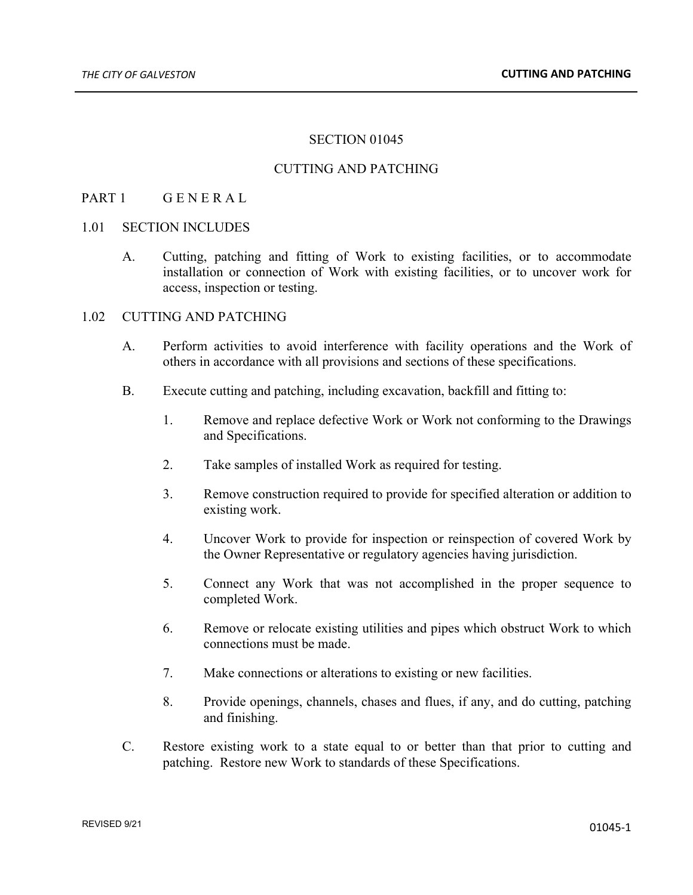# SECTION 01045

### CUTTING AND PATCHING

### PART 1 GENERAL

#### 1.01 SECTION INCLUDES

A. Cutting, patching and fitting of Work to existing facilities, or to accommodate installation or connection of Work with existing facilities, or to uncover work for access, inspection or testing.

## 1.02 CUTTING AND PATCHING

- A. Perform activities to avoid interference with facility operations and the Work of others in accordance with all provisions and sections of these specifications.
- B. Execute cutting and patching, including excavation, backfill and fitting to:
	- 1. Remove and replace defective Work or Work not conforming to the Drawings and Specifications.
	- 2. Take samples of installed Work as required for testing.
	- 3. Remove construction required to provide for specified alteration or addition to existing work.
	- 4. Uncover Work to provide for inspection or reinspection of covered Work by the Owner Representative or regulatory agencies having jurisdiction.
	- 5. Connect any Work that was not accomplished in the proper sequence to completed Work.
	- 6. Remove or relocate existing utilities and pipes which obstruct Work to which connections must be made.
	- 7. Make connections or alterations to existing or new facilities.
	- 8. Provide openings, channels, chases and flues, if any, and do cutting, patching and finishing.
- C. Restore existing work to a state equal to or better than that prior to cutting and patching. Restore new Work to standards of these Specifications.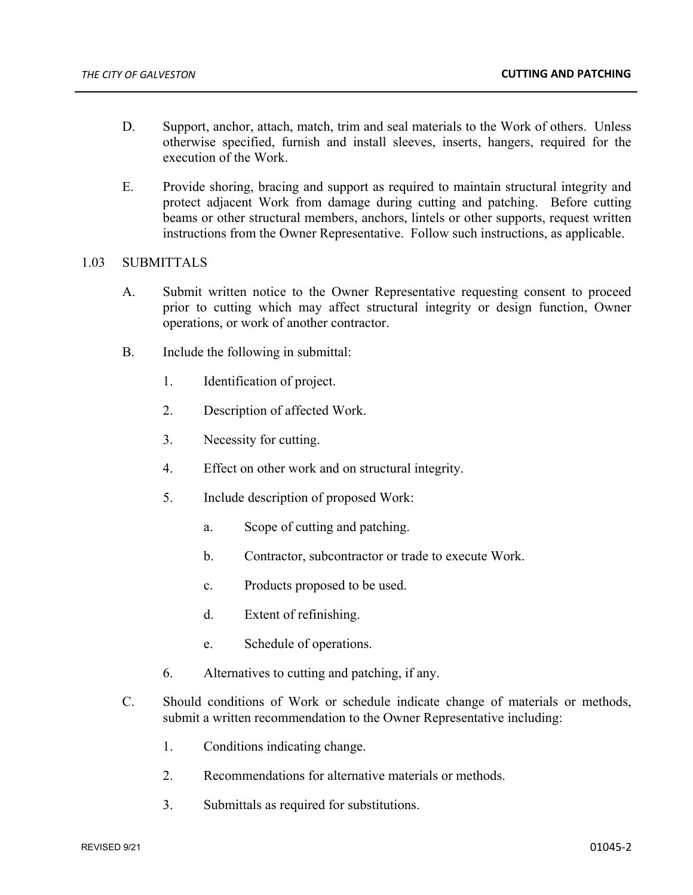- D. Support, anchor, attach, match, trim and seal materials to the Work of others. Unless otherwise specified, furnish and install sleeves, inserts, hangers, required for the execution of the Work.
- E. Provide shoring, bracing and support as required to maintain structural integrity and protect adjacent Work from damage during cutting and patching. Before cutting beams or other structural members, anchors, lintels or other supports, request written instructions from the Owner Representative. Follow such instructions, as applicable.

### 1.03 SUBMITTALS

- A. Submit written notice to the Owner Representative requesting consent to proceed prior to cutting which may affect structural integrity or design function, Owner operations, or work of another contractor.
- B. Include the following in submittal:
	- 1. Identification of project.
	- 2. Description of affected Work.
	- 3. Necessity for cutting.
	- 4. Effect on other work and on structural integrity.
	- 5. Include description of proposed Work:
		- a. Scope of cutting and patching.
		- b. Contractor, subcontractor or trade to execute Work.
		- c. Products proposed to be used.
		- d. Extent of refinishing.
		- e. Schedule of operations.
	- 6. Alternatives to cutting and patching, if any.
- C. Should conditions of Work or schedule indicate change of materials or methods, submit a written recommendation to the Owner Representative including:
	- 1. Conditions indicating change.
	- 2. Recommendations for alternative materials or methods.
	- 3. Submittals as required for substitutions.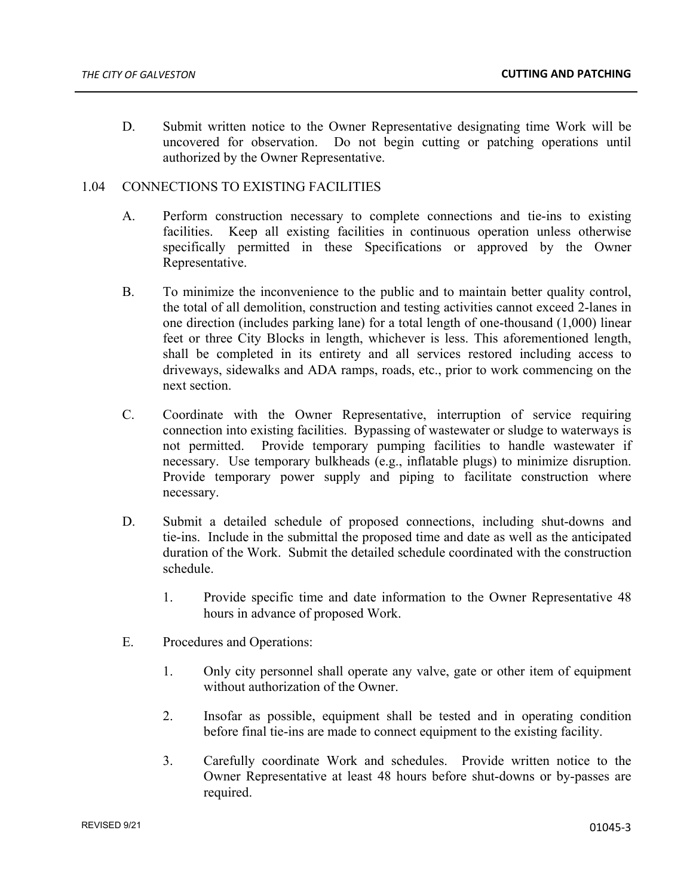D. Submit written notice to the Owner Representative designating time Work will be uncovered for observation. Do not begin cutting or patching operations until authorized by the Owner Representative.

## 1.04 CONNECTIONS TO EXISTING FACILITIES

- A. Perform construction necessary to complete connections and tie-ins to existing facilities. Keep all existing facilities in continuous operation unless otherwise specifically permitted in these Specifications or approved by the Owner Representative.
- B. To minimize the inconvenience to the public and to maintain better quality control, the total of all demolition, construction and testing activities cannot exceed 2-lanes in one direction (includes parking lane) for a total length of one-thousand (1,000) linear feet or three City Blocks in length, whichever is less. This aforementioned length, shall be completed in its entirety and all services restored including access to driveways, sidewalks and ADA ramps, roads, etc., prior to work commencing on the next section.
- C. Coordinate with the Owner Representative, interruption of service requiring connection into existing facilities. Bypassing of wastewater or sludge to waterways is not permitted. Provide temporary pumping facilities to handle wastewater if necessary. Use temporary bulkheads (e.g., inflatable plugs) to minimize disruption. Provide temporary power supply and piping to facilitate construction where necessary.
- D. Submit a detailed schedule of proposed connections, including shut-downs and tie-ins. Include in the submittal the proposed time and date as well as the anticipated duration of the Work. Submit the detailed schedule coordinated with the construction schedule.
	- 1. Provide specific time and date information to the Owner Representative 48 hours in advance of proposed Work.
- E. Procedures and Operations:
	- 1. Only city personnel shall operate any valve, gate or other item of equipment without authorization of the Owner.
	- 2. Insofar as possible, equipment shall be tested and in operating condition before final tie-ins are made to connect equipment to the existing facility.
	- 3. Carefully coordinate Work and schedules. Provide written notice to the Owner Representative at least 48 hours before shut-downs or by-passes are required.